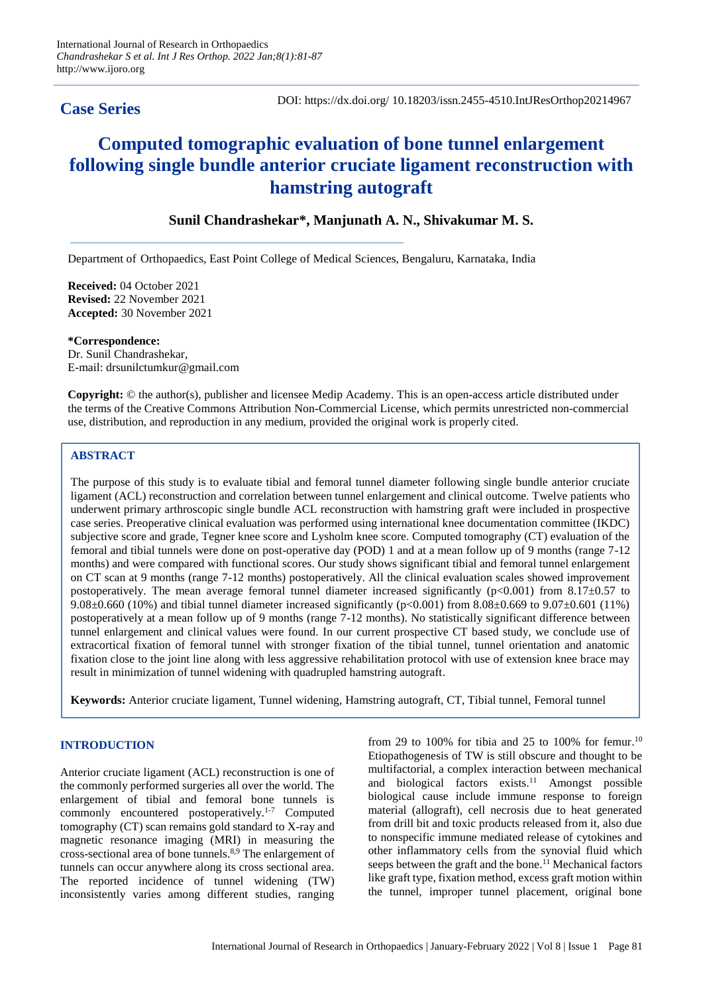# **Case Series**

# **Computed tomographic evaluation of bone tunnel enlargement following single bundle anterior cruciate ligament reconstruction with hamstring autograft**

# **Sunil Chandrashekar\*, Manjunath A. N., Shivakumar M. S.**

Department of Orthopaedics, East Point College of Medical Sciences, Bengaluru, Karnataka, India

**Received:** 04 October 2021 **Revised:** 22 November 2021 **Accepted:** 30 November 2021

**\*Correspondence:** Dr. Sunil Chandrashekar, E-mail: drsunilctumkur@gmail.com

**Copyright:** © the author(s), publisher and licensee Medip Academy. This is an open-access article distributed under the terms of the Creative Commons Attribution Non-Commercial License, which permits unrestricted non-commercial use, distribution, and reproduction in any medium, provided the original work is properly cited.

# **ABSTRACT**

The purpose of this study is to evaluate tibial and femoral tunnel diameter following single bundle anterior cruciate ligament (ACL) reconstruction and correlation between tunnel enlargement and clinical outcome. Twelve patients who underwent primary arthroscopic single bundle ACL reconstruction with hamstring graft were included in prospective case series. Preoperative clinical evaluation was performed using international knee documentation committee (IKDC) subjective score and grade, Tegner knee score and Lysholm knee score. Computed tomography (CT) evaluation of the femoral and tibial tunnels were done on post-operative day (POD) 1 and at a mean follow up of 9 months (range 7-12 months) and were compared with functional scores. Our study shows significant tibial and femoral tunnel enlargement on CT scan at 9 months (range 7-12 months) postoperatively. All the clinical evaluation scales showed improvement postoperatively. The mean average femoral tunnel diameter increased significantly (p<0.001) from 8.17±0.57 to 9.08±0.660 (10%) and tibial tunnel diameter increased significantly (p<0.001) from 8.08±0.669 to 9.07±0.601 (11%) postoperatively at a mean follow up of 9 months (range 7-12 months). No statistically significant difference between tunnel enlargement and clinical values were found. In our current prospective CT based study, we conclude use of extracortical fixation of femoral tunnel with stronger fixation of the tibial tunnel, tunnel orientation and anatomic fixation close to the joint line along with less aggressive rehabilitation protocol with use of extension knee brace may result in minimization of tunnel widening with quadrupled hamstring autograft.

**Keywords:** Anterior cruciate ligament, Tunnel widening, Hamstring autograft, CT, Tibial tunnel, Femoral tunnel

# **INTRODUCTION**

Anterior cruciate ligament (ACL) reconstruction is one of the commonly performed surgeries all over the world. The enlargement of tibial and femoral bone tunnels is commonly encountered postoperatively. 1-7 Computed tomography (CT) scan remains gold standard to X-ray and magnetic resonance imaging (MRI) in measuring the cross-sectional area of bone tunnels. 8,9 The enlargement of tunnels can occur anywhere along its cross sectional area. The reported incidence of tunnel widening (TW) inconsistently varies among different studies, ranging

from 29 to 100% for tibia and 25 to 100% for femur.<sup>10</sup> Etiopathogenesis of TW is still obscure and thought to be multifactorial, a complex interaction between mechanical and biological factors exists. <sup>11</sup> Amongst possible biological cause include immune response to foreign material (allograft), cell necrosis due to heat generated from drill bit and toxic products released from it, also due to nonspecific immune mediated release of cytokines and other inflammatory cells from the synovial fluid which seeps between the graft and the bone. <sup>11</sup> Mechanical factors like graft type, fixation method, excess graft motion within the tunnel, improper tunnel placement, original bone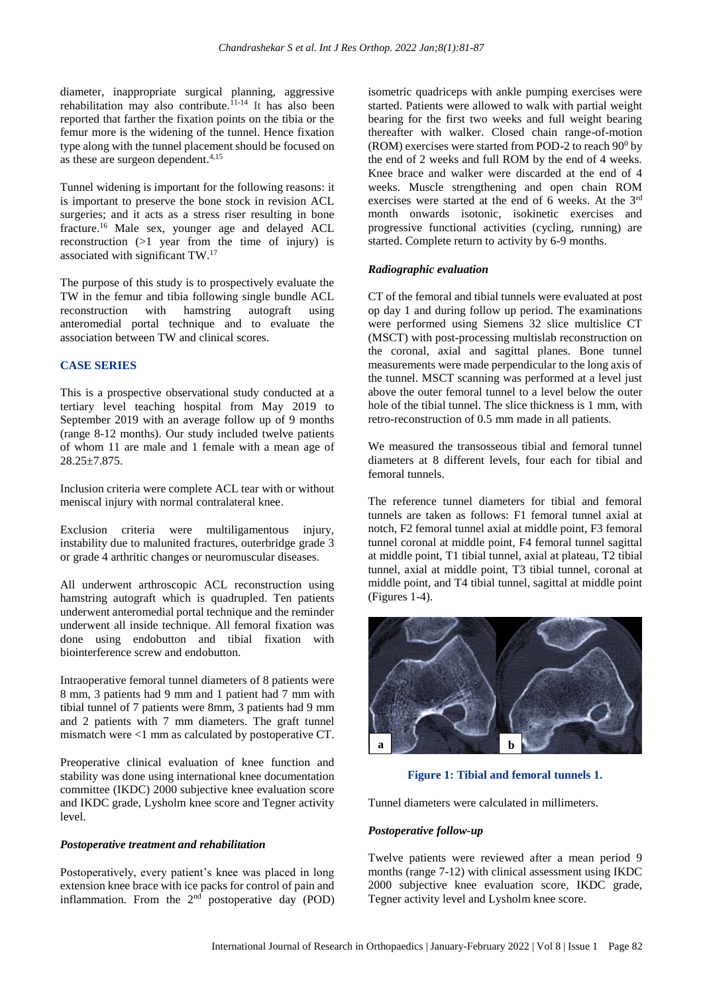diameter, inappropriate surgical planning, aggressive rehabilitation may also contribute.<sup>11-14</sup> It has also been reported that farther the fixation points on the tibia or the femur more is the widening of the tunnel. Hence fixation type along with the tunnel placement should be focused on as these are surgeon dependent. 4,15

Tunnel widening is important for the following reasons: it is important to preserve the bone stock in revision ACL surgeries; and it acts as a stress riser resulting in bone fracture. <sup>16</sup> Male sex, younger age and delayed ACL reconstruction (>1 year from the time of injury) is associated with significant TW. 17

The purpose of this study is to prospectively evaluate the TW in the femur and tibia following single bundle ACL reconstruction with hamstring autograft using anteromedial portal technique and to evaluate the association between TW and clinical scores.

# **CASE SERIES**

This is a prospective observational study conducted at a tertiary level teaching hospital from May 2019 to September 2019 with an average follow up of 9 months (range 8-12 months). Our study included twelve patients of whom 11 are male and 1 female with a mean age of 28.25±7.875.

Inclusion criteria were complete ACL tear with or without meniscal injury with normal contralateral knee.

Exclusion criteria were multiligamentous injury, instability due to malunited fractures, outerbridge grade 3 or grade 4 arthritic changes or neuromuscular diseases.

All underwent arthroscopic ACL reconstruction using hamstring autograft which is quadrupled. Ten patients underwent anteromedial portal technique and the reminder underwent all inside technique. All femoral fixation was done using endobutton and tibial fixation with biointerference screw and endobutton.

Intraoperative femoral tunnel diameters of 8 patients were 8 mm, 3 patients had 9 mm and 1 patient had 7 mm with tibial tunnel of 7 patients were 8mm, 3 patients had 9 mm and 2 patients with 7 mm diameters. The graft tunnel mismatch were <1 mm as calculated by postoperative CT.

Preoperative clinical evaluation of knee function and stability was done using international knee documentation committee (IKDC) 2000 subjective knee evaluation score and IKDC grade, Lysholm knee score and Tegner activity level.

# *Postoperative treatment and rehabilitation*

Postoperatively, every patient's knee was placed in long extension knee brace with ice packs for control of pain and inflammation. From the  $2<sup>nd</sup>$  postoperative day (POD) isometric quadriceps with ankle pumping exercises were started. Patients were allowed to walk with partial weight bearing for the first two weeks and full weight bearing thereafter with walker. Closed chain range-of-motion (ROM) exercises were started from POD-2 to reach  $90^0$  by the end of 2 weeks and full ROM by the end of 4 weeks. Knee brace and walker were discarded at the end of 4 weeks. Muscle strengthening and open chain ROM exercises were started at the end of 6 weeks. At the 3rd month onwards isotonic, isokinetic exercises and progressive functional activities (cycling, running) are started. Complete return to activity by 6-9 months.

#### *Radiographic evaluation*

CT of the femoral and tibial tunnels were evaluated at post op day 1 and during follow up period. The examinations were performed using Siemens 32 slice multislice CT (MSCT) with post-processing multislab reconstruction on the coronal, axial and sagittal planes. Bone tunnel measurements were made perpendicular to the long axis of the tunnel. MSCT scanning was performed at a level just above the outer femoral tunnel to a level below the outer hole of the tibial tunnel. The slice thickness is 1 mm, with retro-reconstruction of 0.5 mm made in all patients.

We measured the transosseous tibial and femoral tunnel diameters at 8 different levels, four each for tibial and femoral tunnels.

The reference tunnel diameters for tibial and femoral tunnels are taken as follows: F1 femoral tunnel axial at notch, F2 femoral tunnel axial at middle point, F3 femoral tunnel coronal at middle point, F4 femoral tunnel sagittal at middle point, T1 tibial tunnel, axial at plateau, T2 tibial tunnel, axial at middle point, T3 tibial tunnel, coronal at middle point, and T4 tibial tunnel, sagittal at middle point (Figures 1-4).



# **Figure 1: Tibial and femoral tunnels 1.**

Tunnel diameters were calculated in millimeters.

# *Postoperative follow-up*

Twelve patients were reviewed after a mean period 9 months (range 7-12) with clinical assessment using IKDC 2000 subjective knee evaluation score, IKDC grade, Tegner activity level and Lysholm knee score.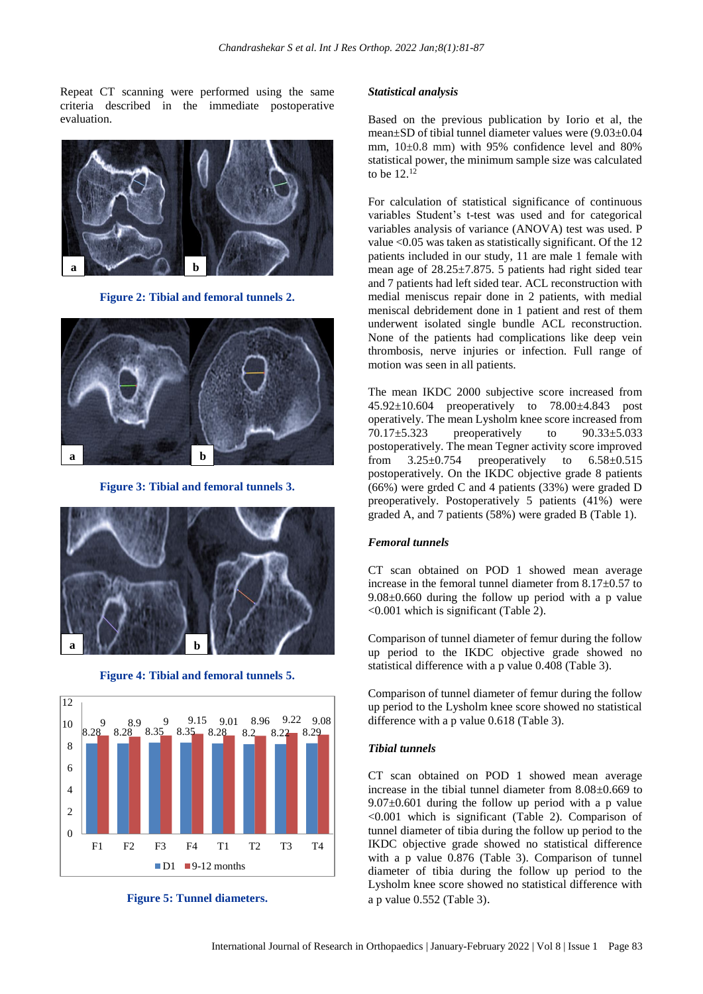Repeat CT scanning were performed using the same criteria described in the immediate postoperative evaluation.



**Figure 2: Tibial and femoral tunnels 2.**



**Figure 3: Tibial and femoral tunnels 3.**



**Figure 4: Tibial and femoral tunnels 5.**



**Figure 5: Tunnel diameters.**

#### *Statistical analysis*

Based on the previous publication by Iorio et al, the mean±SD of tibial tunnel diameter values were (9.03±0.04 mm, 10±0.8 mm) with 95% confidence level and 80% statistical power, the minimum sample size was calculated to be  $12^{12}$ 

For calculation of statistical significance of continuous variables Student's t-test was used and for categorical variables analysis of variance (ANOVA) test was used. P value <0.05 was taken as statistically significant. Of the 12 patients included in our study, 11 are male 1 female with mean age of 28.25±7.875. 5 patients had right sided tear and 7 patients had left sided tear. ACL reconstruction with medial meniscus repair done in 2 patients, with medial meniscal debridement done in 1 patient and rest of them underwent isolated single bundle ACL reconstruction. None of the patients had complications like deep vein thrombosis, nerve injuries or infection. Full range of motion was seen in all patients.

The mean IKDC 2000 subjective score increased from 45.92±10.604 preoperatively to 78.00±4.843 post operatively. The mean Lysholm knee score increased from 70.17±5.323 preoperatively to 90.33±5.033 postoperatively. The mean Tegner activity score improved from  $3.25\pm0.754$  preoperatively to  $6.58\pm0.515$ postoperatively. On the IKDC objective grade 8 patients (66%) were grded C and 4 patients (33%) were graded D preoperatively. Postoperatively 5 patients (41%) were graded A, and 7 patients (58%) were graded B (Table 1).

#### *Femoral tunnels*

CT scan obtained on POD 1 showed mean average increase in the femoral tunnel diameter from 8.17±0.57 to 9.08±0.660 during the follow up period with a p value <0.001 which is significant (Table 2).

Comparison of tunnel diameter of femur during the follow up period to the IKDC objective grade showed no statistical difference with a p value 0.408 (Table 3).

Comparison of tunnel diameter of femur during the follow up period to the Lysholm knee score showed no statistical difference with a p value 0.618 (Table 3).

#### *Tibial tunnels*

CT scan obtained on POD 1 showed mean average increase in the tibial tunnel diameter from 8.08±0.669 to  $9.07\pm0.601$  during the follow up period with a p value <0.001 which is significant (Table 2). Comparison of tunnel diameter of tibia during the follow up period to the IKDC objective grade showed no statistical difference with a p value 0.876 (Table 3). Comparison of tunnel diameter of tibia during the follow up period to the Lysholm knee score showed no statistical difference with a p value 0.552 (Table 3).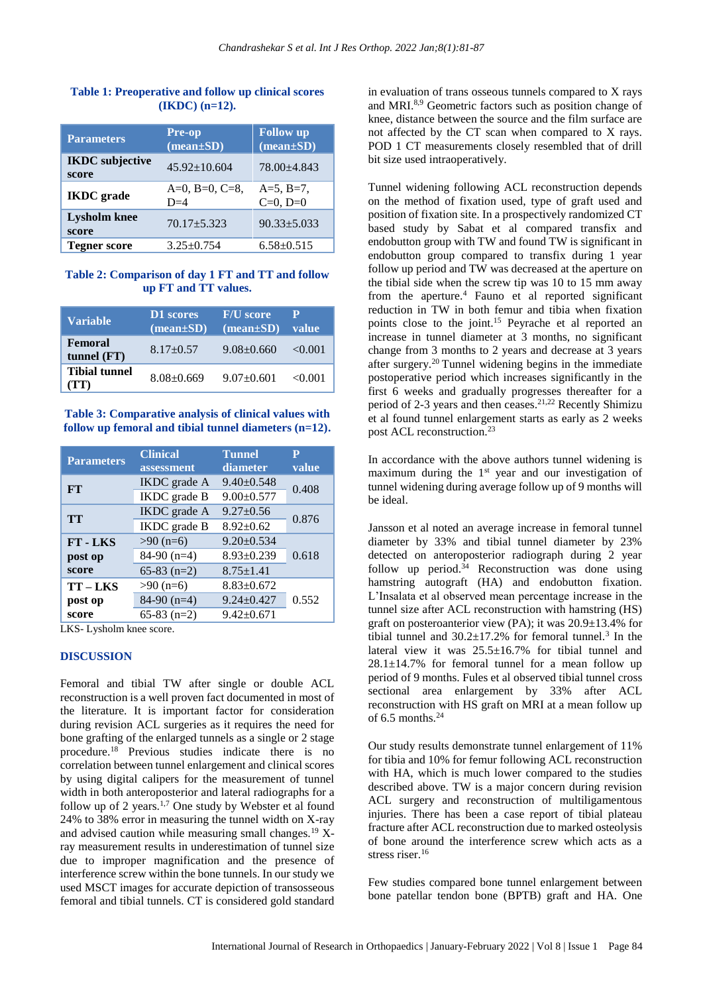# **Table 1: Preoperative and follow up clinical scores (IKDC) (n=12).**

| <b>Parameters</b>               | <b>Pre-op</b><br>$(mean \pm SD)$ | <b>Follow</b> up<br>$(\text{mean}\pm S\textbf{D})$ |
|---------------------------------|----------------------------------|----------------------------------------------------|
| <b>IKDC</b> subjective<br>score | $45.92 \pm 10.604$               | 78.00+4.843                                        |
| <b>IKDC</b> grade               | $A=0$ , $B=0$ , $C=8$ ,<br>$D=4$ | $A=5, B=7,$<br>$C=0, D=0$                          |
| <b>Lysholm</b> knee<br>score    | $70.17 + 5.323$                  | $90.33 + 5.033$                                    |
| <b>Tegner score</b>             | $3.25 + 0.754$                   | $6.58 \pm 0.515$                                   |

#### **Table 2: Comparison of day 1 FT and TT and follow up FT and TT values.**

| <b>Variable</b>                 | D1 scores<br>$(\text{mean} \pm \text{SD})$ | <b>F/U</b> score<br>$(\text{mean}\pm S\textbf{D})$ | P<br>value |
|---------------------------------|--------------------------------------------|----------------------------------------------------|------------|
| <b>Femoral</b><br>tunnel $(FT)$ | $8.17 + 0.57$                              | $9.08 + 0.660$                                     | < 0.001    |
| <b>Tibial tunnel</b><br>(TT)    | $8.08 + 0.669$                             | $9.07 \pm 0.601$                                   | < 0.001    |

## **Table 3: Comparative analysis of clinical values with follow up femoral and tibial tunnel diameters (n=12).**

| <b>Parameters</b> | <b>Clinical</b>     | <b>Tunnel</b>    | P     |
|-------------------|---------------------|------------------|-------|
|                   | assessment          | diameter         | value |
| FT                | <b>IKDC</b> grade A | $9.40 \pm 0.548$ | 0.408 |
|                   | IKDC grade B        | $9.00 \pm 0.577$ |       |
| <b>TT</b>         | <b>IKDC</b> grade A | $9.27 \pm 0.56$  | 0.876 |
|                   | <b>IKDC</b> grade B | $8.92 \pm 0.62$  |       |
| <b>FT-LKS</b>     | $>90$ (n=6)         | $9.20 \pm 0.534$ |       |
| post op           | 84-90 $(n=4)$       | $8.93 \pm 0.239$ | 0.618 |
| score             | 65-83 $(n=2)$       | $8.75 \pm 1.41$  |       |
| TT-LKS            | $>90$ (n=6)         | $8.83 \pm 0.672$ |       |
| post op           | 84-90 $(n=4)$       | $9.24 \pm 0.427$ | 0.552 |
| score             | $65-83$ (n=2)       | $9.42 \pm 0.671$ |       |

LKS- Lysholm knee score.

# **DISCUSSION**

Femoral and tibial TW after single or double ACL reconstruction is a well proven fact documented in most of the literature. It is important factor for consideration during revision ACL surgeries as it requires the need for bone grafting of the enlarged tunnels as a single or 2 stage procedure.<sup>18</sup> Previous studies indicate there is no correlation between tunnel enlargement and clinical scores by using digital calipers for the measurement of tunnel width in both anteroposterior and lateral radiographs for a follow up of 2 years.<sup>1,7</sup> One study by Webster et al found 24% to 38% error in measuring the tunnel width on X-ray and advised caution while measuring small changes.<sup>19</sup> Xray measurement results in underestimation of tunnel size due to improper magnification and the presence of interference screw within the bone tunnels. In our study we used MSCT images for accurate depiction of transosseous femoral and tibial tunnels. CT is considered gold standard

in evaluation of trans osseous tunnels compared to X rays and MRI.8,9 Geometric factors such as position change of knee, distance between the source and the film surface are not affected by the CT scan when compared to X rays. POD 1 CT measurements closely resembled that of drill bit size used intraoperatively.

Tunnel widening following ACL reconstruction depends on the method of fixation used, type of graft used and position of fixation site. In a prospectively randomized CT based study by Sabat et al compared transfix and endobutton group with TW and found TW is significant in endobutton group compared to transfix during 1 year follow up period and TW was decreased at the aperture on the tibial side when the screw tip was 10 to 15 mm away from the aperture.<sup>4</sup> Fauno et al reported significant reduction in TW in both femur and tibia when fixation points close to the joint.<sup>15</sup> Peyrache et al reported an increase in tunnel diameter at 3 months, no significant change from 3 months to 2 years and decrease at 3 years after surgery.<sup>20</sup> Tunnel widening begins in the immediate postoperative period which increases significantly in the first 6 weeks and gradually progresses thereafter for a period of 2-3 years and then ceases.<sup>21,22</sup> Recently Shimizu et al found tunnel enlargement starts as early as 2 weeks post ACL reconstruction.<sup>23</sup>

In accordance with the above authors tunnel widening is maximum during the  $1<sup>st</sup>$  year and our investigation of tunnel widening during average follow up of 9 months will be ideal.

Jansson et al noted an average increase in femoral tunnel diameter by 33% and tibial tunnel diameter by 23% detected on anteroposterior radiograph during 2 year follow up period. $34$  Reconstruction was done using hamstring autograft (HA) and endobutton fixation. L'Insalata et al observed mean percentage increase in the tunnel size after ACL reconstruction with hamstring (HS) graft on posteroanterior view (PA); it was 20.9±13.4% for tibial tunnel and  $30.2 \pm 17.2$ % for femoral tunnel.<sup>3</sup> In the lateral view it was 25.5±16.7% for tibial tunnel and  $28.1 \pm 14.7$ % for femoral tunnel for a mean follow up period of 9 months. Fules et al observed tibial tunnel cross sectional area enlargement by 33% after ACL reconstruction with HS graft on MRI at a mean follow up of  $6.5$  months.<sup>24</sup>

Our study results demonstrate tunnel enlargement of 11% for tibia and 10% for femur following ACL reconstruction with HA, which is much lower compared to the studies described above. TW is a major concern during revision ACL surgery and reconstruction of multiligamentous injuries. There has been a case report of tibial plateau fracture after ACL reconstruction due to marked osteolysis of bone around the interference screw which acts as a stress riser.<sup>16</sup>

Few studies compared bone tunnel enlargement between bone patellar tendon bone (BPTB) graft and HA. One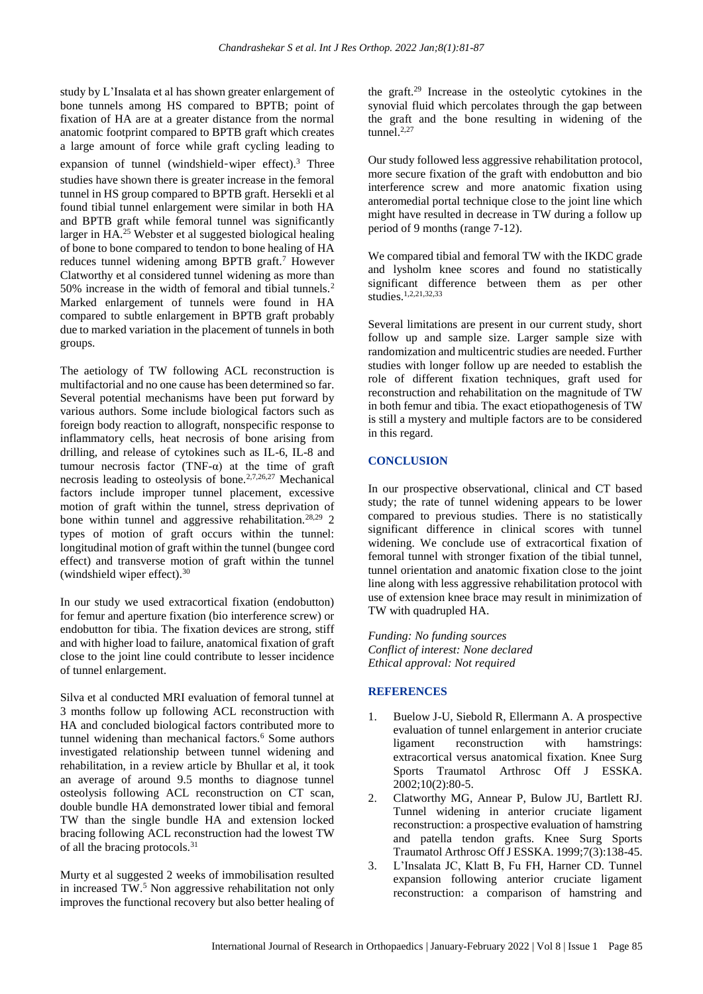study by L'Insalata et al has shown greater enlargement of bone tunnels among HS compared to BPTB; point of fixation of HA are at a greater distance from the normal anatomic footprint compared to BPTB graft which creates a large amount of force while graft cycling leading to expansion of tunnel (windshield-wiper effect).<sup>3</sup> Three studies have shown there is greater increase in the femoral tunnel in HS group compared to BPTB graft. Hersekli et al found tibial tunnel enlargement were similar in both HA and BPTB graft while femoral tunnel was significantly larger in HA.<sup>25</sup> Webster et al suggested biological healing of bone to bone compared to tendon to bone healing of HA reduces tunnel widening among BPTB graft.<sup>7</sup> However Clatworthy et al considered tunnel widening as more than 50% increase in the width of femoral and tibial tunnels.<sup>2</sup> Marked enlargement of tunnels were found in HA compared to subtle enlargement in BPTB graft probably due to marked variation in the placement of tunnels in both groups.

The aetiology of TW following ACL reconstruction is multifactorial and no one cause has been determined so far. Several potential mechanisms have been put forward by various authors. Some include biological factors such as foreign body reaction to allograft, nonspecific response to inflammatory cells, heat necrosis of bone arising from drilling, and release of cytokines such as IL-6, IL-8 and tumour necrosis factor (TNF- $\alpha$ ) at the time of graft necrosis leading to osteolysis of bone.2,7,26,27 Mechanical factors include improper tunnel placement, excessive motion of graft within the tunnel, stress deprivation of bone within tunnel and aggressive rehabilitation.28,29 2 types of motion of graft occurs within the tunnel: longitudinal motion of graft within the tunnel (bungee cord effect) and transverse motion of graft within the tunnel (windshield wiper effect).<sup>30</sup>

In our study we used extracortical fixation (endobutton) for femur and aperture fixation (bio interference screw) or endobutton for tibia. The fixation devices are strong, stiff and with higher load to failure, anatomical fixation of graft close to the joint line could contribute to lesser incidence of tunnel enlargement.

Silva et al conducted MRI evaluation of femoral tunnel at 3 months follow up following ACL reconstruction with HA and concluded biological factors contributed more to tunnel widening than mechanical factors.<sup>6</sup> Some authors investigated relationship between tunnel widening and rehabilitation, in a review article by Bhullar et al, it took an average of around 9.5 months to diagnose tunnel osteolysis following ACL reconstruction on CT scan, double bundle HA demonstrated lower tibial and femoral TW than the single bundle HA and extension locked bracing following ACL reconstruction had the lowest TW of all the bracing protocols.<sup>31</sup>

Murty et al suggested 2 weeks of immobilisation resulted in increased TW.<sup>5</sup> Non aggressive rehabilitation not only improves the functional recovery but also better healing of the graft.<sup>29</sup> Increase in the osteolytic cytokines in the synovial fluid which percolates through the gap between the graft and the bone resulting in widening of the tunnel. $2,27$ 

Our study followed less aggressive rehabilitation protocol, more secure fixation of the graft with endobutton and bio interference screw and more anatomic fixation using anteromedial portal technique close to the joint line which might have resulted in decrease in TW during a follow up period of 9 months (range 7-12).

We compared tibial and femoral TW with the IKDC grade and lysholm knee scores and found no statistically significant difference between them as per other studies.1,2,21,32,33

Several limitations are present in our current study, short follow up and sample size. Larger sample size with randomization and multicentric studies are needed. Further studies with longer follow up are needed to establish the role of different fixation techniques, graft used for reconstruction and rehabilitation on the magnitude of TW in both femur and tibia. The exact etiopathogenesis of TW is still a mystery and multiple factors are to be considered in this regard.

## **CONCLUSION**

In our prospective observational, clinical and CT based study; the rate of tunnel widening appears to be lower compared to previous studies. There is no statistically significant difference in clinical scores with tunnel widening. We conclude use of extracortical fixation of femoral tunnel with stronger fixation of the tibial tunnel, tunnel orientation and anatomic fixation close to the joint line along with less aggressive rehabilitation protocol with use of extension knee brace may result in minimization of TW with quadrupled HA.

*Funding: No funding sources Conflict of interest: None declared Ethical approval: Not required*

#### **REFERENCES**

- 1. Buelow J-U, Siebold R, Ellermann A. A prospective evaluation of tunnel enlargement in anterior cruciate ligament reconstruction with hamstrings: extracortical versus anatomical fixation. Knee Surg Sports Traumatol Arthrosc Off J ESSKA. 2002;10(2):80-5.
- 2. Clatworthy MG, Annear P, Bulow JU, Bartlett RJ. Tunnel widening in anterior cruciate ligament reconstruction: a prospective evaluation of hamstring and patella tendon grafts. Knee Surg Sports Traumatol Arthrosc Off J ESSKA. 1999;7(3):138-45.
- 3. L'Insalata JC, Klatt B, Fu FH, Harner CD. Tunnel expansion following anterior cruciate ligament reconstruction: a comparison of hamstring and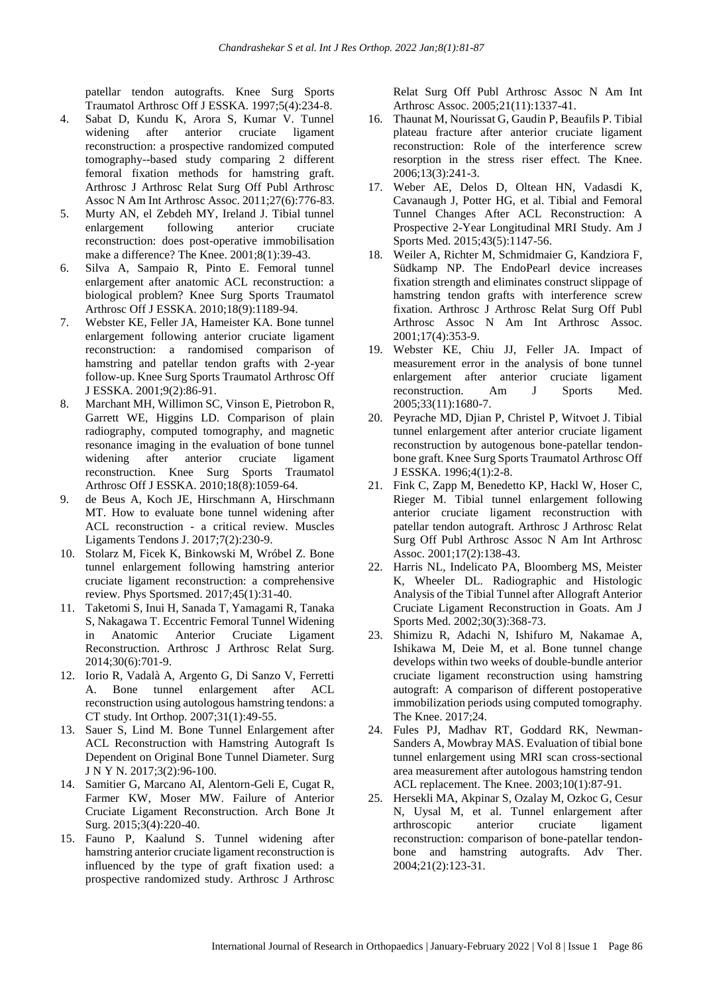patellar tendon autografts. Knee Surg Sports Traumatol Arthrosc Off J ESSKA. 1997;5(4):234-8.

- 4. Sabat D, Kundu K, Arora S, Kumar V. Tunnel widening after anterior cruciate ligament reconstruction: a prospective randomized computed tomography--based study comparing 2 different femoral fixation methods for hamstring graft. Arthrosc J Arthrosc Relat Surg Off Publ Arthrosc Assoc N Am Int Arthrosc Assoc. 2011;27(6):776-83.
- 5. Murty AN, el Zebdeh MY, Ireland J. Tibial tunnel enlargement following anterior cruciate reconstruction: does post-operative immobilisation make a difference? The Knee. 2001;8(1):39-43.
- 6. Silva A, Sampaio R, Pinto E. Femoral tunnel enlargement after anatomic ACL reconstruction: a biological problem? Knee Surg Sports Traumatol Arthrosc Off J ESSKA. 2010;18(9):1189-94.
- 7. Webster KE, Feller JA, Hameister KA. Bone tunnel enlargement following anterior cruciate ligament reconstruction: a randomised comparison of hamstring and patellar tendon grafts with 2-year follow-up. Knee Surg Sports Traumatol Arthrosc Off J ESSKA. 2001;9(2):86-91.
- 8. Marchant MH, Willimon SC, Vinson E, Pietrobon R, Garrett WE, Higgins LD. Comparison of plain radiography, computed tomography, and magnetic resonance imaging in the evaluation of bone tunnel widening after anterior cruciate ligament reconstruction. Knee Surg Sports Traumatol Arthrosc Off J ESSKA. 2010;18(8):1059-64.
- 9. de Beus A, Koch JE, Hirschmann A, Hirschmann MT. How to evaluate bone tunnel widening after ACL reconstruction - a critical review. Muscles Ligaments Tendons J. 2017;7(2):230-9.
- 10. Stolarz M, Ficek K, Binkowski M, Wróbel Z. Bone tunnel enlargement following hamstring anterior cruciate ligament reconstruction: a comprehensive review. Phys Sportsmed. 2017;45(1):31-40.
- 11. Taketomi S, Inui H, Sanada T, Yamagami R, Tanaka S, Nakagawa T. Eccentric Femoral Tunnel Widening in Anatomic Anterior Cruciate Ligament Reconstruction. Arthrosc J Arthrosc Relat Surg. 2014;30(6):701-9.
- 12. Iorio R, Vadalà A, Argento G, Di Sanzo V, Ferretti A. Bone tunnel enlargement after ACL reconstruction using autologous hamstring tendons: a CT study. Int Orthop. 2007;31(1):49-55.
- 13. Sauer S, Lind M. Bone Tunnel Enlargement after ACL Reconstruction with Hamstring Autograft Is Dependent on Original Bone Tunnel Diameter. Surg J N Y N. 2017;3(2):96-100.
- 14. Samitier G, Marcano AI, Alentorn-Geli E, Cugat R, Farmer KW, Moser MW. Failure of Anterior Cruciate Ligament Reconstruction. Arch Bone Jt Surg. 2015;3(4):220-40.
- 15. Fauno P, Kaalund S. Tunnel widening after hamstring anterior cruciate ligament reconstruction is influenced by the type of graft fixation used: a prospective randomized study. Arthrosc J Arthrosc

Relat Surg Off Publ Arthrosc Assoc N Am Int Arthrosc Assoc. 2005;21(11):1337-41.

- 16. Thaunat M, Nourissat G, Gaudin P, Beaufils P. Tibial plateau fracture after anterior cruciate ligament reconstruction: Role of the interference screw resorption in the stress riser effect. The Knee. 2006;13(3):241-3.
- 17. Weber AE, Delos D, Oltean HN, Vadasdi K, Cavanaugh J, Potter HG, et al. Tibial and Femoral Tunnel Changes After ACL Reconstruction: A Prospective 2-Year Longitudinal MRI Study. Am J Sports Med. 2015;43(5):1147-56.
- 18. Weiler A, Richter M, Schmidmaier G, Kandziora F, Südkamp NP. The EndoPearl device increases fixation strength and eliminates construct slippage of hamstring tendon grafts with interference screw fixation. Arthrosc J Arthrosc Relat Surg Off Publ Arthrosc Assoc N Am Int Arthrosc Assoc. 2001;17(4):353-9.
- 19. Webster KE, Chiu JJ, Feller JA. Impact of measurement error in the analysis of bone tunnel enlargement after anterior cruciate ligament reconstruction. Am J Sports Med. 2005;33(11):1680-7.
- 20. Peyrache MD, Djian P, Christel P, Witvoet J. Tibial tunnel enlargement after anterior cruciate ligament reconstruction by autogenous bone-patellar tendonbone graft. Knee Surg Sports Traumatol Arthrosc Off J ESSKA. 1996;4(1):2-8.
- 21. Fink C, Zapp M, Benedetto KP, Hackl W, Hoser C, Rieger M. Tibial tunnel enlargement following anterior cruciate ligament reconstruction with patellar tendon autograft. Arthrosc J Arthrosc Relat Surg Off Publ Arthrosc Assoc N Am Int Arthrosc Assoc. 2001;17(2):138-43.
- 22. Harris NL, Indelicato PA, Bloomberg MS, Meister K, Wheeler DL. Radiographic and Histologic Analysis of the Tibial Tunnel after Allograft Anterior Cruciate Ligament Reconstruction in Goats. Am J Sports Med. 2002;30(3):368-73.
- 23. Shimizu R, Adachi N, Ishifuro M, Nakamae A, Ishikawa M, Deie M, et al. Bone tunnel change develops within two weeks of double-bundle anterior cruciate ligament reconstruction using hamstring autograft: A comparison of different postoperative immobilization periods using computed tomography. The Knee. 2017;24.
- 24. Fules PJ, Madhav RT, Goddard RK, Newman-Sanders A, Mowbray MAS. Evaluation of tibial bone tunnel enlargement using MRI scan cross-sectional area measurement after autologous hamstring tendon ACL replacement. The Knee. 2003;10(1):87-91.
- 25. Hersekli MA, Akpinar S, Ozalay M, Ozkoc G, Cesur N, Uysal M, et al. Tunnel enlargement after arthroscopic anterior cruciate ligament reconstruction: comparison of bone-patellar tendonbone and hamstring autografts. Adv Ther. 2004;21(2):123-31.